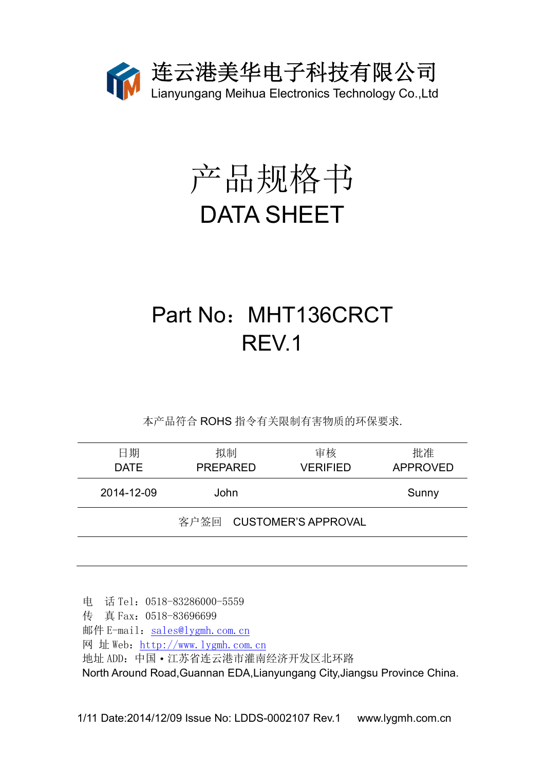

# 产品规格书 DATA SHEET

## Part No: MHT136CRCT REV.1

本产品符合 ROHS 指令有关限制有害物质的环保要求.

| 日期<br><b>DATE</b> | 拟制<br><b>PREPARED</b>    | 审核<br><b>VERIFIED</b> | 批准<br><b>APPROVED</b> |
|-------------------|--------------------------|-----------------------|-----------------------|
| 2014-12-09        | John                     |                       | Sunny                 |
|                   | 客户签回 CUSTOMER'S APPROVAL |                       |                       |

电 话 Tel:0518-83286000-5559 传 真 Fax:0518-83696699 邮件 E-mail: sales@lygmh.com.cn 网 址 Web:http://www.lygmh.com.cn 地址 ADD:中国·江苏省连云港市灌南经济开发区北环路 North Around Road,Guannan EDA,Lianyungang City,Jiangsu Province China.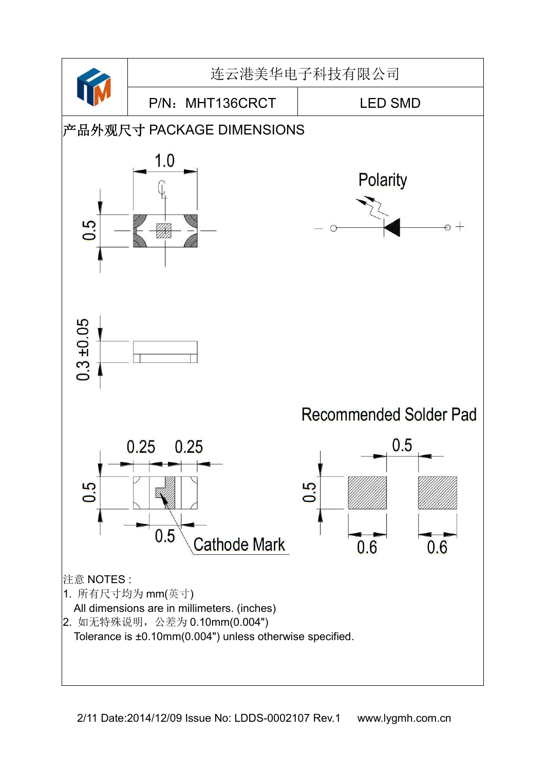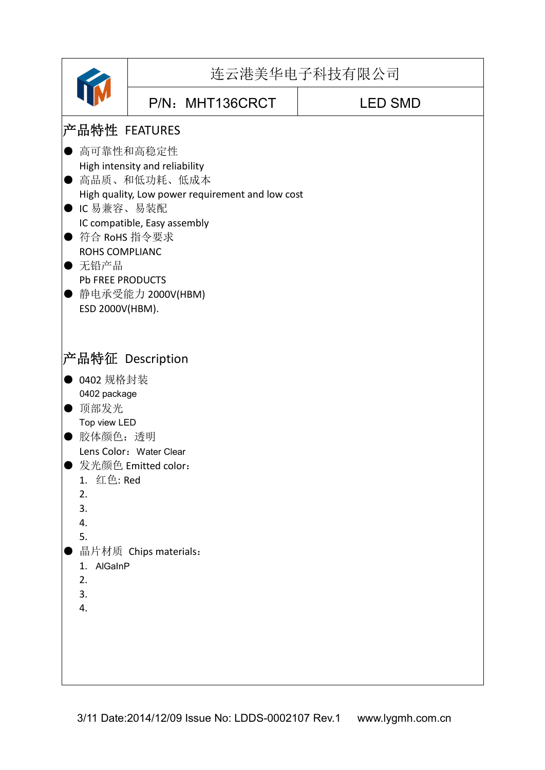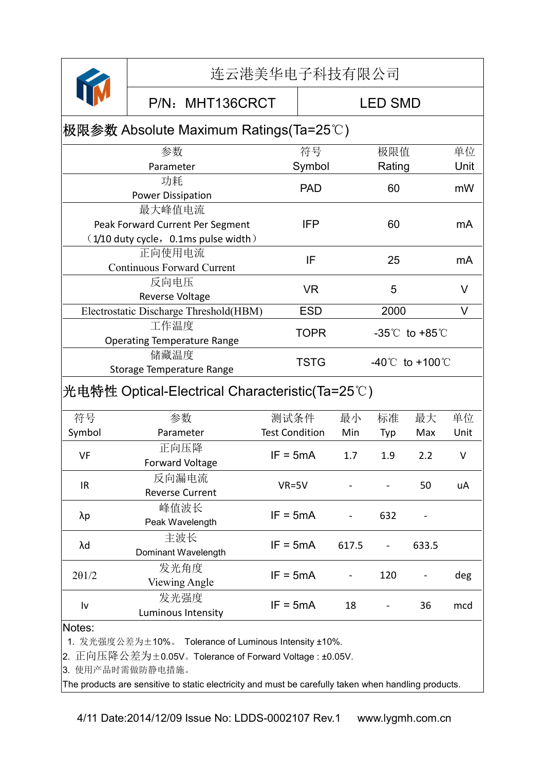|                                                                                     | 连云港美华电子科技有限公司                                           |                       |             |                                     |        |       |      |
|-------------------------------------------------------------------------------------|---------------------------------------------------------|-----------------------|-------------|-------------------------------------|--------|-------|------|
|                                                                                     | P/N: MHT136CRCT<br><b>LED SMD</b>                       |                       |             |                                     |        |       |      |
|                                                                                     | 极限参数 Absolute Maximum Ratings(Ta=25℃)                   |                       |             |                                     |        |       |      |
|                                                                                     | 参数                                                      |                       | 符号          |                                     | 极限值    |       | 单位   |
|                                                                                     | Parameter                                               |                       | Symbol      |                                     | Rating |       | Unit |
|                                                                                     | 功耗                                                      |                       | <b>PAD</b>  |                                     | 60     | mW    |      |
|                                                                                     | <b>Power Dissipation</b>                                |                       |             |                                     |        |       |      |
|                                                                                     | 最大峰值电流                                                  |                       |             |                                     |        |       |      |
|                                                                                     | Peak Forward Current Per Segment                        |                       | <b>IFP</b>  |                                     | 60     |       | mA   |
|                                                                                     | $(1/10$ duty cycle, 0.1ms pulse width)<br>正向使用电流        |                       |             |                                     |        |       |      |
|                                                                                     | <b>Continuous Forward Current</b>                       |                       | IF          |                                     | 25     |       |      |
|                                                                                     | 反向电压                                                    |                       |             |                                     |        |       |      |
|                                                                                     | Reverse Voltage                                         |                       | <b>VR</b>   |                                     | 5      |       |      |
|                                                                                     | Electrostatic Discharge Threshold(HBM)                  |                       | <b>ESD</b>  | 2000                                |        |       | V    |
| 工作温度                                                                                |                                                         |                       |             |                                     |        |       |      |
| <b>TOPR</b><br>$-35^{\circ}$ to $+85^{\circ}$<br><b>Operating Temperature Range</b> |                                                         |                       |             |                                     |        |       |      |
| 储藏温度<br>Storage Temperature Range                                                   |                                                         |                       | <b>TSTG</b> | $-40^{\circ}$ C to $+100^{\circ}$ C |        |       |      |
|                                                                                     |                                                         |                       |             |                                     |        |       |      |
|                                                                                     | 光电特性 Optical-Electrical Characteristic(Ta=25°C)         |                       |             |                                     |        |       |      |
| 符号                                                                                  | 参数                                                      | 测试条件                  |             | 最小                                  | 标准     | 最大    | 单位   |
| Symbol                                                                              | Parameter                                               | <b>Test Condition</b> |             | Min                                 | Typ    | Max   | Unit |
| VF                                                                                  | 正向压降<br><b>Forward Voltage</b>                          | $IF = 5mA$            |             | 1.7                                 | 1.9    | 2.2   | v    |
|                                                                                     | 反向漏电流                                                   |                       |             |                                     |        | 50    |      |
| IR                                                                                  | <b>Reverse Current</b>                                  | $VR = 5V$             |             |                                     |        |       | uA   |
|                                                                                     | 峰值波长                                                    | $IF = 5mA$            |             |                                     |        |       |      |
| λp                                                                                  | Peak Wavelength                                         |                       |             |                                     | 632    |       |      |
| λd                                                                                  | 主波长<br>Dominant Wavelength                              | $IF = 5mA$            |             | 617.5                               |        | 633.5 |      |
|                                                                                     | 发光角度                                                    |                       |             |                                     | 120    |       | deg  |
| 201/2                                                                               | <b>Viewing Angle</b>                                    | $IF = 5mA$            |             |                                     |        |       |      |
|                                                                                     | 发光强度                                                    |                       |             | 18                                  |        |       |      |
| Iv<br>Luminous Intensity                                                            |                                                         |                       | $IF = 5mA$  |                                     |        | 36    | mcd  |
| Notes:                                                                              |                                                         |                       |             |                                     |        |       |      |
|                                                                                     | 1. 发光强度公差为±10%。 Tolerance of Luminous Intensity ±10%.   |                       |             |                                     |        |       |      |
|                                                                                     | 2. 正向压降公差为±0.05V。Tolerance of Forward Voltage : ±0.05V. |                       |             |                                     |        |       |      |
|                                                                                     | 3. 使用产品时需做防静电措施。                                        |                       |             |                                     |        |       |      |

The products are sensitive to static electricity and must be carefully taken when handling products.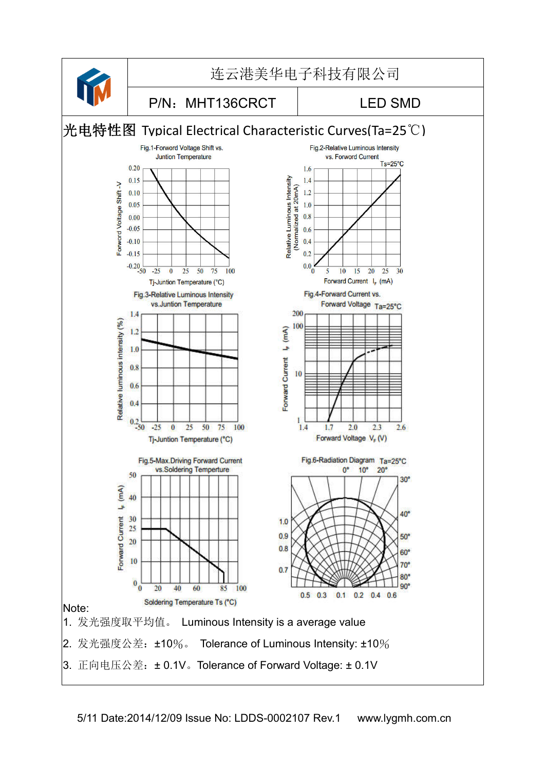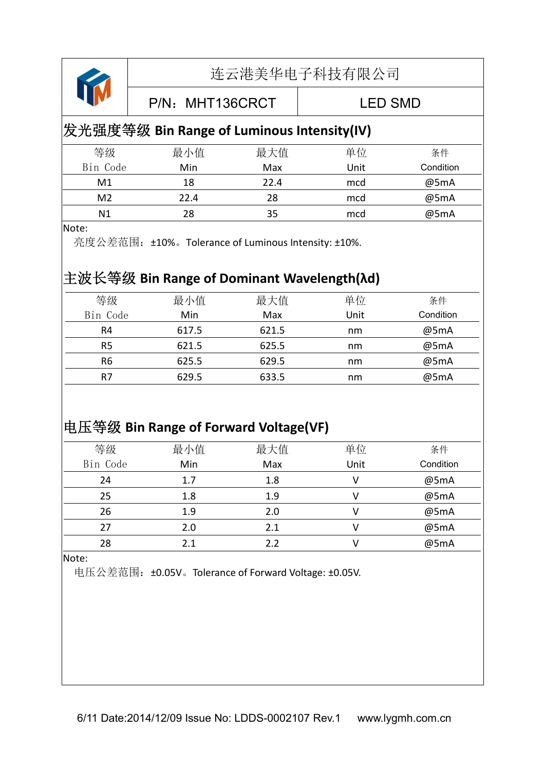

P/N: MHT136CRCT LED SMD

#### 发光强度等级 **Bin Range of Luminous Intensity(IV)**

| 等级       | 最小值  | 最大值  | 单位   | 条件        |
|----------|------|------|------|-----------|
| Bin Code | Min  | Max  | Unit | Condition |
| M1       | 18   | 22.4 | mcd  | @5mA      |
| M2       | 22.4 | 28   | mcd  | @5mA      |
| N1       | 28   |      | mcd  | @5mA      |

#### Note:

亮度公差范围:±10%。Tolerance of Luminous Intensity: ±10%.

#### 主波长等级 **Bin Range of Dominant Wavelength(λd)**

| 等级             | 最小值   | 最大值   | 单位   | 条件        |
|----------------|-------|-------|------|-----------|
| Bin Code       | Min   | Max   | Unit | Condition |
| R4             | 617.5 | 621.5 | nm   | @5mA      |
| R5             | 621.5 | 625.5 | nm   | @5mA      |
| R <sub>6</sub> | 625.5 | 629.5 | nm   | @5mA      |
| R7             | 629.5 | 633.5 | nm   | @5mA      |
|                |       |       |      |           |

#### 电压等级 **Bin Range of Forward Voltage(VF)**

| 等级       | 最小值 | 最大值 | 单位   | 条件        |
|----------|-----|-----|------|-----------|
| Bin Code | Min | Max | Unit | Condition |
| 24       | 1.7 | 1.8 |      | @5mA      |
| 25       | 1.8 | 1.9 |      | @5mA      |
| 26       | 1.9 | 2.0 |      | @5mA      |
| 27       | 2.0 | 2.1 |      | @5mA      |
| 28       | 2.1 | 2.2 |      | @5mA      |

Note:

电压公差范围:±0.05V。Tolerance of Forward Voltage: ±0.05V.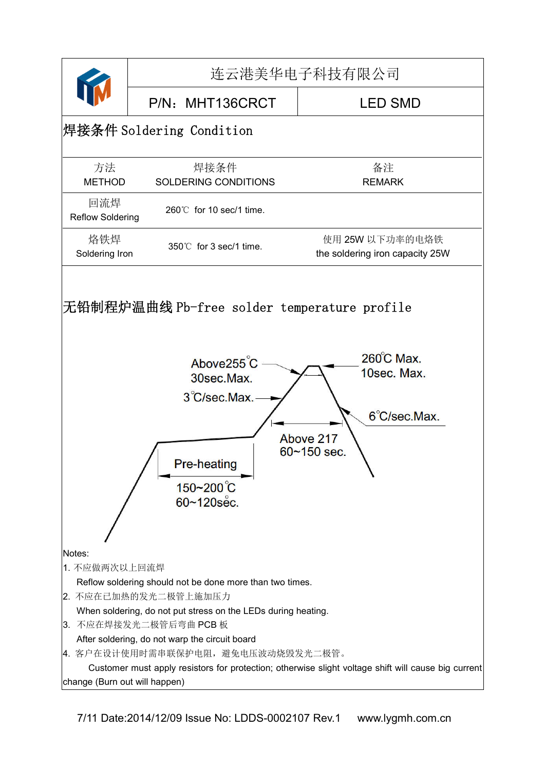

7/11 Date:2014/12/09 Issue No: LDDS-0002107 Rev.1 www.lygmh.com.cn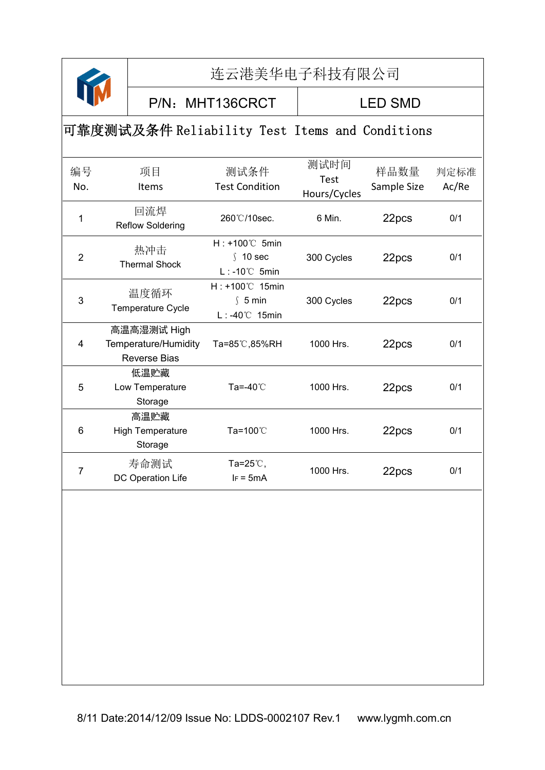

P/N: MHT136CRCT | LED SMD

#### 可靠度测试及条件 Reliability Test Items and Conditions

| 编号<br>No.      | 项目<br>Items                                                | 测试条件<br><b>Test Condition</b>                                       | 测试时间<br>Test<br>Hours/Cycles | 样品数量<br>Sample Size | 判定标准<br>Ac/Re |
|----------------|------------------------------------------------------------|---------------------------------------------------------------------|------------------------------|---------------------|---------------|
| 1              | 回流焊<br><b>Reflow Soldering</b>                             | 260°C/10sec.                                                        | 6 Min.                       | 22pcs               | 0/1           |
| $\overline{2}$ | 热冲击<br><b>Thermal Shock</b>                                | $H: +100^{\circ}$ C 5min<br>$\int$ 10 sec<br>$L: -10^{\circ}C$ 5min | 300 Cycles                   | 22pcs               | 0/1           |
| 3              | 温度循环<br>Temperature Cycle                                  | H: +100℃ 15min<br>\$5 min<br>L: -40℃ 15min                          | 300 Cycles                   | 22pcs               | 0/1           |
| 4              | 高温高湿测试 High<br>Temperature/Humidity<br><b>Reverse Bias</b> | Ta=85℃,85%RH                                                        | 1000 Hrs.                    | 22pcs               | 0/1           |
| 5              | 低温贮藏<br>Low Temperature<br>Storage                         | Ta=-40℃                                                             | 1000 Hrs.                    | 22pcs               | 0/1           |
| 6              | 高温贮藏<br><b>High Temperature</b><br>Storage                 | Ta=100℃                                                             | 1000 Hrs.                    | 22pcs               | 0/1           |
| 7              | 寿命测试<br>DC Operation Life                                  | Ta=25 $\degree$ C,<br>$IF = 5mA$                                    | 1000 Hrs.                    | 22pcs               | 0/1           |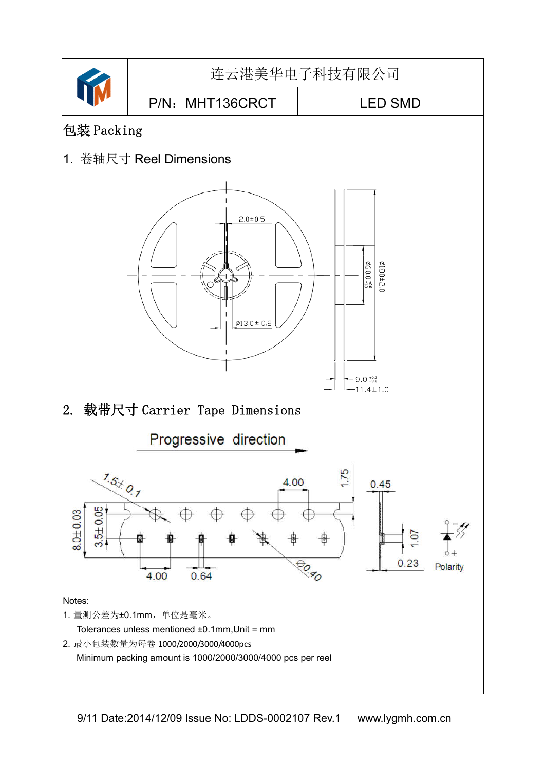

9/11 Date:2014/12/09 Issue No: LDDS-0002107 Rev.1 www.lygmh.com.cn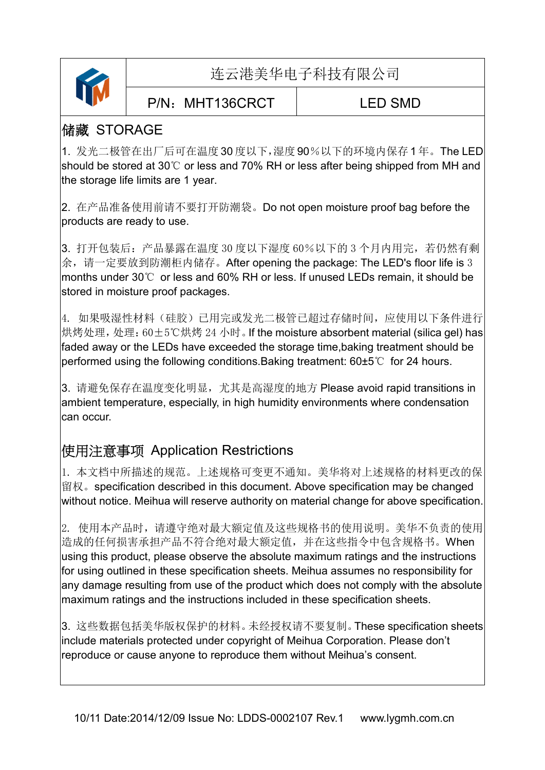

P/N: MHT136CRCT | LED SMD

#### 储藏 STORAGE

1. 发光二极管在出厂后可在温度 30 度以下,湿度 90%以下的环境内保存 1 年。The LED should be stored at 30℃ or less and 70% RH or less after being shipped from MH and the storage life limits are 1 year.

2. 在产品准备使用前请不要打开防潮袋。Do not open moisture proof bag before the products are ready to use.

3. 打开包装后:产品暴露在温度 30 度以下湿度 60%以下的 3 个月内用完,若仍然有剩 余,请一定要放到防潮柜内储存。After opening the package: The LED's floor life is 3 months under 30℃ or less and 60% RH or less. If unused LEDs remain, it should be stored in moisture proof packages.

4. 如果吸湿性材料(硅胶)已用完或发光二极管已超过存储时间,应使用以下条件进行 烘烤处理,处理:60±5℃烘烤 24 小时。If the moisture absorbent material (silica gel) has faded away or the LEDs have exceeded the storage time,baking treatment should be performed using the following conditions.Baking treatment: 60±5℃ for 24 hours.

3. 请避免保存在温度变化明显, 尤其是高湿度的地方 Please avoid rapid transitions in ambient temperature, especially, in high humidity environments where condensation can occur.

#### 使用注意事项 Application Restrictions

1. 本文档中所描述的规范。上述规格可变更不通知。美华将对上述规格的材料更改的保 留权。specification described in this document. Above specification may be changed without notice. Meihua will reserve authority on material change for above specification.

2. 使用本产品时,请遵守绝对最大额定值及这些规格书的使用说明。美华不负责的使用 造成的任何损害承担产品不符合绝对最大额定值,并在这些指令中包含规格书。When using this product, please observe the absolute maximum ratings and the instructions for using outlined in these specification sheets. Meihua assumes no responsibility for any damage resulting from use of the product which does not comply with the absolute maximum ratings and the instructions included in these specification sheets.

3. 这些数据包括美华版权保护的材料。未经授权请不要复制。These specification sheets include materials protected under copyright of Meihua Corporation. Please don't reproduce or cause anyone to reproduce them without Meihua's consent.